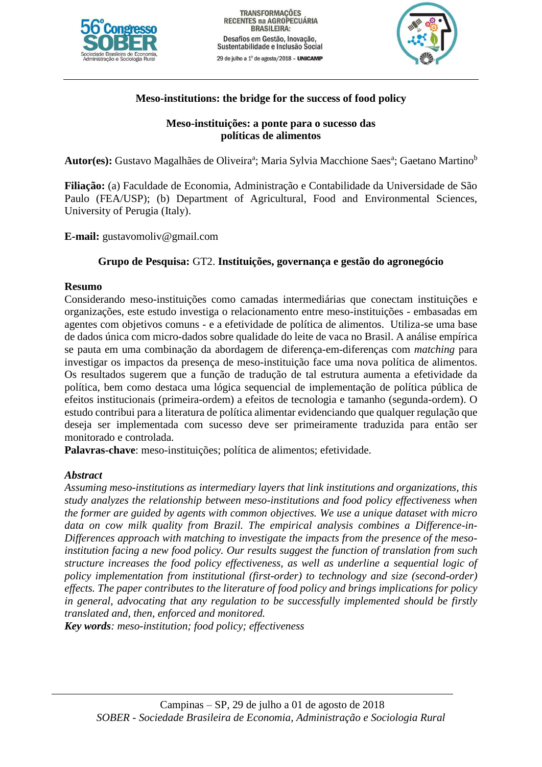



# **Meso-institutions: the bridge for the success of food policy**

# **Meso-instituições: a ponte para o sucesso das políticas de alimentos**

**Autor(es):** Gustavo Magalhães de Oliveira<sup>a</sup>; Maria Sylvia Macchione Saes<sup>a</sup>; Gaetano Martino<sup>b</sup>

**Filiação:** (a) Faculdade de Economia, Administração e Contabilidade da Universidade de São Paulo (FEA/USP); (b) Department of Agricultural, Food and Environmental Sciences, University of Perugia (Italy).

**E-mail:** gustavomoliv@gmail.com

# **Grupo de Pesquisa:** GT2. **Instituições, governança e gestão do agronegócio**

# **Resumo**

Considerando meso-instituições como camadas intermediárias que conectam instituições e organizações, este estudo investiga o relacionamento entre meso-instituições - embasadas em agentes com objetivos comuns - e a efetividade de política de alimentos. Utiliza-se uma base de dados única com micro-dados sobre qualidade do leite de vaca no Brasil. A análise empírica se pauta em uma combinação da abordagem de diferença-em-diferenças com *matching* para investigar os impactos da presença de meso-instituição face uma nova política de alimentos. Os resultados sugerem que a função de tradução de tal estrutura aumenta a efetividade da política, bem como destaca uma lógica sequencial de implementação de política pública de efeitos institucionais (primeira-ordem) a efeitos de tecnologia e tamanho (segunda-ordem). O estudo contribui para a literatura de política alimentar evidenciando que qualquer regulação que deseja ser implementada com sucesso deve ser primeiramente traduzida para então ser monitorado e controlada.

**Palavras-chave**: meso-instituições; política de alimentos; efetividade.

# *Abstract*

*Assuming meso-institutions as intermediary layers that link institutions and organizations, this study analyzes the relationship between meso-institutions and food policy effectiveness when the former are guided by agents with common objectives. We use a unique dataset with micro data on cow milk quality from Brazil. The empirical analysis combines a Difference-in-Differences approach with matching to investigate the impacts from the presence of the mesoinstitution facing a new food policy. Our results suggest the function of translation from such structure increases the food policy effectiveness, as well as underline a sequential logic of policy implementation from institutional (first-order) to technology and size (second-order) effects. The paper contributes to the literature of food policy and brings implications for policy in general, advocating that any regulation to be successfully implemented should be firstly translated and, then, enforced and monitored.*

*Key words: meso-institution; food policy; effectiveness*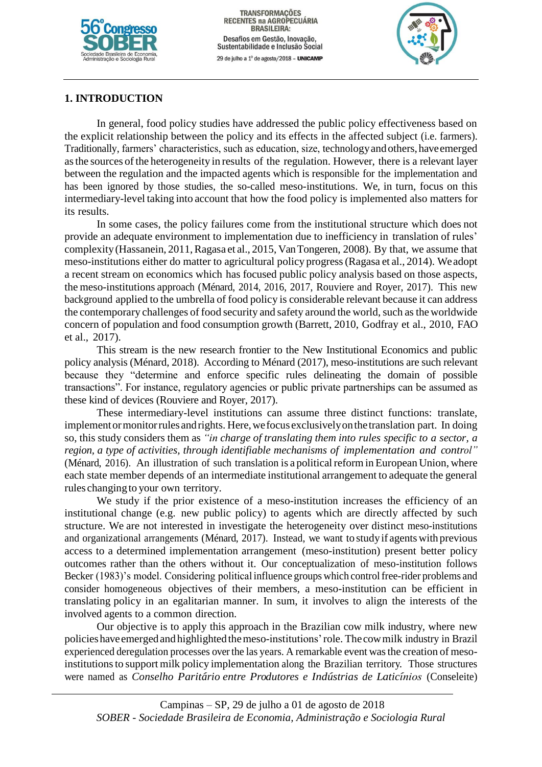

TRANSFORMAÇÕES<br>RECENTES na AGROPECUÁRIA **BRASILEIRA:** Desafios em Gestão, Inovação, Sustentabilidade e Inclusão Social 29 de julho a 1º de agosto/2018 - UNICAMP



# **1. INTRODUCTION**

In general, food policy studies have addressed the public policy effectiveness based on the explicit relationship between the policy and its effects in the affected subject (i.e. farmers). Traditionally, farmers' characteristics, such as education, size, technologyandothers,haveemerged asthe sources ofthe heterogeneity in results of the regulation. However, there is a relevant layer between the regulation and the impacted agents which is responsible for the implementation and has been ignored by those studies, the so-called meso-institutions. We, in turn, focus on this intermediary-level taking into account that how the food policy is implemented also matters for its results.

In some cases, the policy failures come from the institutional structure which does not provide an adequate environment to implementation due to inefficiency in translation of rules' complexity (Hassanein, 2011, Ragasa et al., 2015, Van Tongeren, 2008). By that, we assume that meso-institutions either do matter to agricultural policy progress(Ragasa et al., 2014). Weadopt a recent stream on economics which has focused public policy analysis based on those aspects, the meso-institutions approach (Ménard, 2014, 2016, 2017, Rouviere and Royer, 2017). This new background applied to the umbrella of food policy is considerable relevant because it can address the contemporary challenges of food security and safety around the world, such as the worldwide concern of population and food consumption growth (Barrett, 2010, Godfray et al., 2010, FAO et al., 2017).

This stream is the new research frontier to the New Institutional Economics and public policy analysis (Ménard, 2018). According to Ménard (2017), meso-institutions are such relevant because they "determine and enforce specific rules delineating the domain of possible transactions". For instance, regulatory agencies or public private partnerships can be assumed as these kind of devices (Rouviere and Royer, 2017).

These intermediary-level institutions can assume three distinct functions: translate, implement or monitor rules and rights. Here, we focus exclusively on the translation part. In doing so, this study considers them as *"in charge of translating them into rules specific to a sector, a region, a type of activities, through identifiable mechanisms of implementation and control"* (Ménard, 2016). An illustration of such translation is a political reform in European Union, where each state member depends of an intermediate institutional arrangement to adequate the general rules changing to your own territory.

We study if the prior existence of a meso-institution increases the efficiency of an institutional change (e.g. new public policy) to agents which are directly affected by such structure. We are not interested in investigate the heterogeneity over distinct meso-institutions and organizational arrangements (Ménard, 2017). Instead, we want to studyif agents with previous access to a determined implementation arrangement (meso-institution) present better policy outcomes rather than the others without it. Our conceptualization of meso-institution follows Becker (1983)'s model. Considering political influence groups which control free-rider problems and consider homogeneous objectives of their members, a meso-institution can be efficient in translating policy in an egalitarian manner. In sum, it involves to align the interests of the involved agents to a common direction.

Our objective is to apply this approach in the Brazilian cow milk industry, where new policieshaveemergedand highlightedthemeso-institutions'role. The cowmilk industry in Brazil experienced deregulation processes over the las years. A remarkable event wasthe creation of mesoinstitutionsto support milk policy implementation along the Brazilian territory. Those structures were named as *Conselho Parit´ario entre Produtores <sup>e</sup> Indu´strias de Latic´ınios* (Conseleite)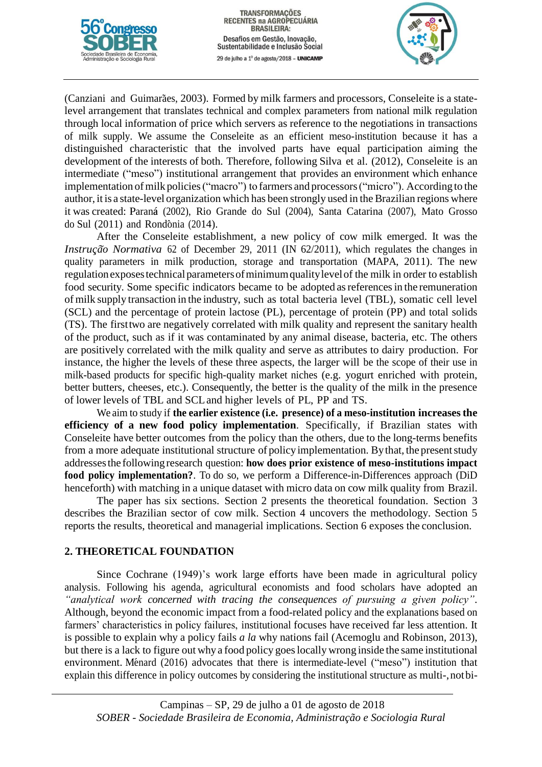



(Canziani and Guimarães, 2003). Formed by milk farmers and processors, Conseleite is a statelevel arrangement that translates technical and complex parameters from national milk regulation through local information of price which servers as reference to the negotiations in transactions of milk supply. We assume the Conseleite as an efficient meso-institution because it has a distinguished characteristic that the involved parts have equal participation aiming the development of the interests of both. Therefore, following Silva et al. (2012), Conseleite is an intermediate ("meso") institutional arrangement that provides an environment which enhance implementation of milk policies ("macro") to farmers and processors ("micro"). According to the author, it is a state-level organization which has been strongly used in the Brazilian regions where it was created: Paranaá (2002), Rio Grande do Sul (2004), Santa Catarina (2007), Mato Grosso do Sul  $(2011)$  and Rondônia  $(2014)$ .

After the Conseleite establishment, a new policy of cow milk emerged. It was the *Instrução Normativa* 62 of December 29, 2011 (IN 62/2011), which regulates the changes in quality parameters in milk production, storage and transportation (MAPA, 2011). The new regulationexposestechnicalparametersofminimumqualitylevelof the milk in order to establish food security. Some specific indicators became to be adopted asreferencesin the remuneration of milk supply transaction in the industry, such as total bacteria level (TBL), somatic cell level (SCL) and the percentage of protein lactose (PL), percentage of protein (PP) and total solids (TS). The firsttwo are negatively correlated with milk quality and represent the sanitary health of the product, such as if it was contaminated by any animal disease, bacteria, etc. The others are positively correlated with the milk quality and serve as attributes to dairy production. For instance, the higher the levels of these three aspects, the larger will be the scope of their use in milk-based products for specific high-quality market niches (e.g. yogurt enriched with protein, better butters, cheeses, etc.). Consequently, the better is the quality of the milk in the presence of lower levels of TBL and SCLand higher levels of PL, PP and TS.

We aim to study if **the earlier existence (i.e. presence) of a meso-institution increasesthe efficiency of a new food policy implementation**. Specifically, if Brazilian states with Conseleite have better outcomes from the policy than the others, due to the long-terms benefits from a more adequate institutional structure of policy implementation. By that, the present study addressesthe followingresearch question: **how does prior existence of meso-institutions impact food policy implementation?**. To do so, we perform a Difference-in-Differences approach (DiD henceforth) with matching in a unique dataset with micro data on cow milk quality from Brazil.

The paper has six sections. Section 2 presents the theoretical foundation. Section 3 describes the Brazilian sector of cow milk. Section 4 uncovers the methodology. Section 5 reports the results, theoretical and managerial implications. Section 6 exposes the conclusion.

#### **2. THEORETICAL FOUNDATION**

Since Cochrane (1949)'s work large efforts have been made in agricultural policy analysis. Following his agenda, agricultural economists and food scholars have adopted an *"analytical work concerned with tracing the consequences of pursuing a given policy"*. Although, beyond the economic impact from a food-related policy and the explanations based on farmers' characteristics in policy failures, institutional focuses have received far less attention. It is possible to explain why a policy fails *a la* why nations fail (Acemoglu and Robinson, 2013), but there is a lack to figure out why a food policy goes locally wrong inside the same institutional environment. Ménard (2016) advocates that there is intermediate-level ("meso") institution that explain this difference in policy outcomes by considering the institutional structure as multi-,notbi-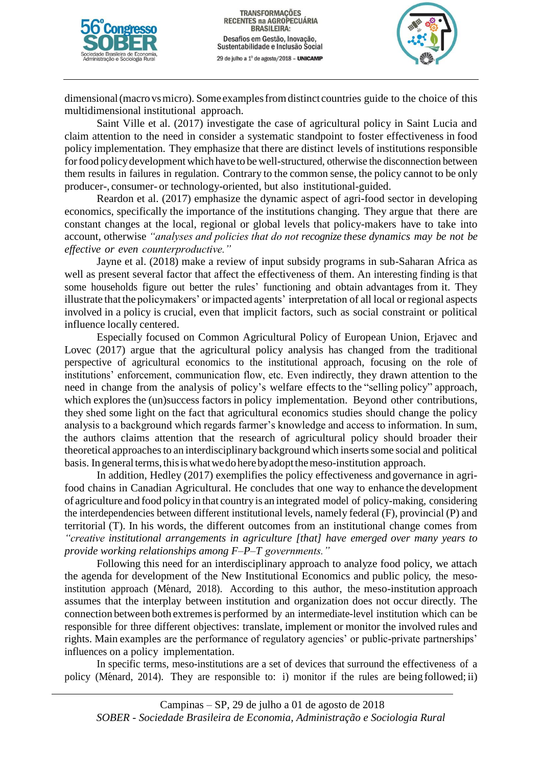



dimensional (macro vs micro). Some examples from distinct countries guide to the choice of this multidimensional institutional approach.

Saint Ville et al. (2017) investigate the case of agricultural policy in Saint Lucia and claim attention to the need in consider a systematic standpoint to foster effectiveness in food policy implementation. They emphasize that there are distinct levels of institutions responsible for food policy development which have to be well-structured, otherwise the disconnection between them results in failures in regulation. Contrary to the common sense, the policy cannot to be only producer-, consumer- or technology-oriented, but also institutional-guided.

Reardon et al. (2017) emphasize the dynamic aspect of agri-food sector in developing economics, specifically the importance of the institutions changing. They argue that there are constant changes at the local, regional or global levels that policy-makers have to take into account, otherwise *"analyses and policies that do not recognize these dynamics may be not be effective or even counterproductive."*

Jayne et al. (2018) make a review of input subsidy programs in sub-Saharan Africa as well as present several factor that affect the effectiveness of them. An interesting finding is that some households figure out better the rules' functioning and obtain advantages from it. They illustrate that the policymakers' orimpacted agents' interpretation of all local or regional aspects involved in a policy is crucial, even that implicit factors, such as social constraint or political influence locally centered.

Especially focused on Common Agricultural Policy of European Union, Erjavec and Lovec (2017) argue that the agricultural policy analysis has changed from the traditional perspective of agricultural economics to the institutional approach, focusing on the role of institutions' enforcement, communication flow, etc. Even indirectly, they drawn attention to the need in change from the analysis of policy's welfare effects to the "selling policy" approach, which explores the (un)success factors in policy implementation. Beyond other contributions, they shed some light on the fact that agricultural economics studies should change the policy analysis to a background which regards farmer's knowledge and access to information. In sum, the authors claims attention that the research of agricultural policy should broader their theoretical approachesto an interdisciplinary background which insertssome social and political basis. In general terms, this is what we do here by adopt the meso-institution approach.

In addition, Hedley (2017) exemplifies the policy effectiveness and governance in agrifood chains in Canadian Agricultural. He concludes that one way to enhance the development of agriculture and food policy in that country is an integrated model of policy-making, considering the interdependencies between different institutional levels, namely federal (F), provincial (P) and territorial (T). In his words, the different outcomes from an institutional change comes from *"creative institutional arrangements in agriculture [that] have emerged over many years to provide working relationships among F–P–T governments."*

Following this need for an interdisciplinary approach to analyze food policy, we attach the agenda for development of the New Institutional Economics and public policy, the mesoinstitution approach (Ménard, 2018). According to this author, the meso-institution approach assumes that the interplay between institution and organization does not occur directly. The connection between both extremesis performed by an intermediate-level institution which can be responsible for three different objectives: translate, implement or monitor the involved rules and rights. Main examples are the performance of regulatory agencies' or public-private partnerships' influences on a policy implementation.

In specific terms, meso-institutions are a set of devices that surround the effectiveness of a policy (Ménard, 2014). They are responsible to: i) monitor if the rules are being followed; ii)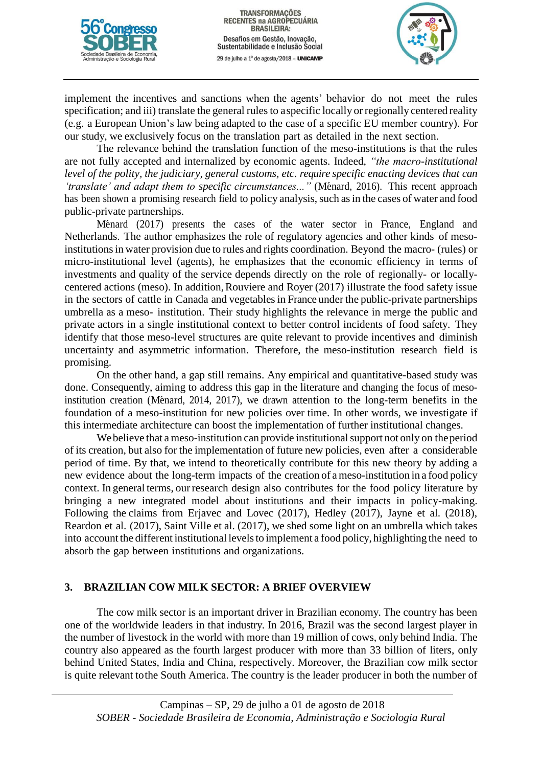



implement the incentives and sanctions when the agents' behavior do not meet the rules specification; and iii) translate the general rules to aspecific locally or regionally centered reality (e.g. a European Union's law being adapted to the case of a specific EU member country). For our study, we exclusively focus on the translation part as detailed in the next section.

The relevance behind the translation function of the meso-institutions is that the rules are not fully accepted and internalized by economic agents. Indeed, *"the macro-institutional level of the polity, the judiciary, general customs, etc. require specific enacting devices that can 'translate' and adapt them to specific circumstances..."* (Ménard, 2016). This recent approach has been shown a promising research field to policy analysis, such as in the cases of water and food public-private partnerships.

Ménard (2017) presents the cases of the water sector in France, England and Netherlands. The author emphasizes the role of regulatory agencies and other kinds of mesoinstitutions in water provision due to rules and rights coordination. Beyond the macro- (rules) or micro-institutional level (agents), he emphasizes that the economic efficiency in terms of investments and quality of the service depends directly on the role of regionally- or locallycentered actions (meso). In addition,Rouviere and Royer (2017) illustrate the food safety issue in the sectors of cattle in Canada and vegetables in France under the public-private partnerships umbrella as a meso- institution. Their study highlights the relevance in merge the public and private actors in a single institutional context to better control incidents of food safety. They identify that those meso-level structures are quite relevant to provide incentives and diminish uncertainty and asymmetric information. Therefore, the meso-institution research field is promising.

On the other hand, a gap still remains. Any empirical and quantitative-based study was done. Consequently, aiming to address this gap in the literature and changing the focus of mesoinstitution creation (Ménard, 2014, 2017), we drawn attention to the long-term benefits in the foundation of a meso-institution for new policies over time. In other words, we investigate if this intermediate architecture can boost the implementation of further institutional changes.

We believe that a meso-institution can provide institutional support not only on the period of its creation, but also for the implementation of future new policies, even after a considerable period of time. By that, we intend to theoretically contribute for this new theory by adding a new evidence about the long-term impacts of the creation of ameso-institution in a food policy context. In general terms, ourresearch design also contributes for the food policy literature by bringing a new integrated model about institutions and their impacts in policy-making. Following the claims from Erjavec and Lovec (2017), Hedley (2017), Jayne et al. (2018), Reardon et al. (2017), Saint Ville et al. (2017), we shed some light on an umbrella which takes into account the different institutional levels to implement a food policy, highlighting the need to absorb the gap between institutions and organizations.

# **3. BRAZILIAN COW MILK SECTOR: A BRIEF OVERVIEW**

The cow milk sector is an important driver in Brazilian economy. The country has been one of the worldwide leaders in that industry. In 2016, Brazil was the second largest player in the number of livestock in the world with more than 19 million of cows, only behind India. The country also appeared as the fourth largest producer with more than 33 billion of liters, only behind United States, India and China, respectively. Moreover, the Brazilian cow milk sector is quite relevant tothe South America. The country is the leader producer in both the number of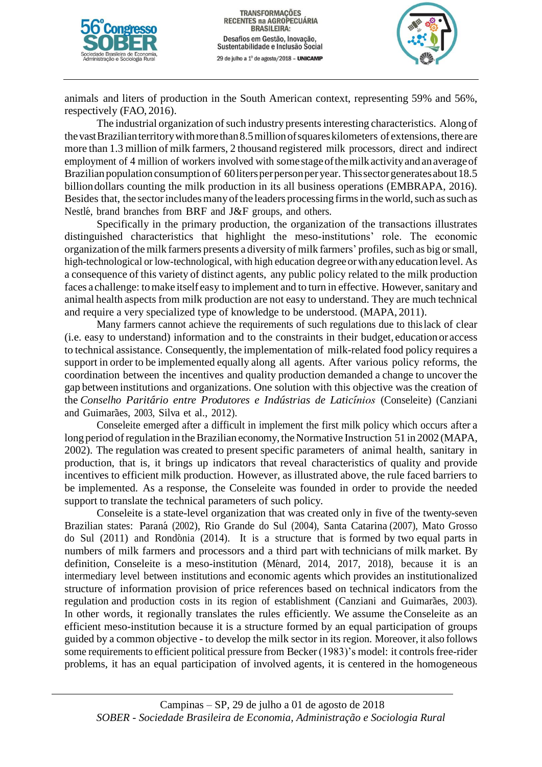



animals and liters of production in the South American context, representing 59% and 56%, respectively (FAO, 2016).

The industrial organization of such industry presents interesting characteristics. Along of the vast Brazilian territory with more than 8.5 million of squares kilometers of extensions, there are more than 1.3 million of milk farmers, 2 thousand registered milk processors, direct and indirect employment of 4 million of workers involved with somestageofthemilkactivityandanaverageof Brazilian population consumption of 60 liters per person per year. This sector generates about 18.5 billiondollars counting the milk production in its all business operations (EMBRAPA, 2016). Besides that, the sector includes many of the leaders processing firms in the world, such as such as Nestlé, brand branches from BRF and J&F groups, and others.

Specifically in the primary production, the organization of the transactions illustrates distinguished characteristics that highlight the meso-institutions' role. The economic organization ofthe milk farmers presents a diversity of milk farmers' profiles, such as big orsmall, high-technological or low-technological, with high education degree or with any education level. As a consequence of this variety of distinct agents, any public policy related to the milk production faces a challenge: to make itself easy to implement and to turn in effective. However, sanitary and animal health aspects from milk production are not easy to understand. They are much technical and require a very specialized type of knowledge to be understood. (MAPA, 2011).

Many farmers cannot achieve the requirements of such regulations due to thislack of clear (i.e. easy to understand) information and to the constraints in their budget, education or access to technical assistance. Consequently, the implementation of milk-related food policy requires a support in order to be implemented equally along all agents. After various policy reforms, the coordination between the incentives and quality production demanded a change to uncover the gap between institutions and organizations. One solution with this objective was the creation of the *Conselho Parit´ario entre Produtores <sup>e</sup> Indu´strias de Latic´ınios* (Conseleite) (Canziani and Guimarães, 2003, Silva et al., 2012).

Conseleite emerged after a difficult in implement the first milk policy which occurs after a long period of regulation in the Brazilian economy, the Normative Instruction 51 in 2002 (MAPA, 2002). The regulation was created to present specific parameters of animal health, sanitary in production, that is, it brings up indicators that reveal characteristics of quality and provide incentives to efficient milk production. However, as illustrated above, the rule faced barriers to be implemented. As a response, the Conseleite was founded in order to provide the needed support to translate the technical parameters of such policy.

Conseleite is a state-level organization that was created only in five of the twenty-seven Brazilian states: Paraná (2002), Rio Grande do Sul (2004), Santa Catarina (2007), Mato Grosso do Sul  $(2011)$  and Rondônia  $(2014)$ . It is a structure that is formed by two equal parts in numbers of milk farmers and processors and a third part with technicians of milk market. By definition, Conseleite is a meso-institution (Ménard, 2014, 2017, 2018), because it is an intermediary level between institutions and economic agents which provides an institutionalized structure of information provision of price references based on technical indicators from the regulation and production costs in its region of establishment (Canziani and Guimarães, 2003). In other words, it regionally translates the rules efficiently. We assume theConseleite as an efficient meso-institution because it is a structure formed by an equal participation of groups guided by a common objective - to develop the milk sector in its region. Moreover, it also follows some requirements to efficient political pressure from Becker (1983)'s model: it controls free-rider problems, it has an equal participation of involved agents, it is centered in the homogeneous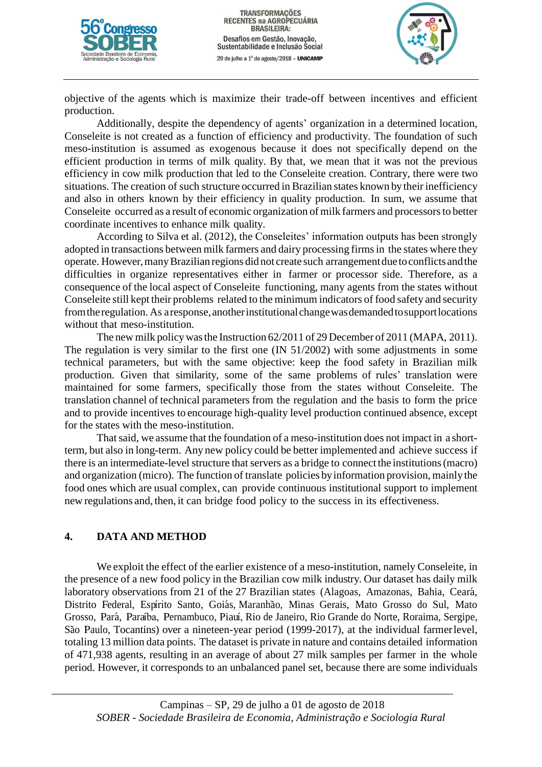



objective of the agents which is maximize their trade-off between incentives and efficient production.

Additionally, despite the dependency of agents' organization in a determined location, Conseleite is not created as a function of efficiency and productivity. The foundation of such meso-institution is assumed as exogenous because it does not specifically depend on the efficient production in terms of milk quality. By that, we mean that it was not the previous efficiency in cow milk production that led to the Conseleite creation. Contrary, there were two situations. The creation of such structure occurred in Brazilian states known by their inefficiency and also in others known by their efficiency in quality production. In sum, we assume that Conseleite occurred as a result of economic organization of milk farmers and processorsto better coordinate incentives to enhance milk quality.

According to Silva et al. (2012), the Conseleites' information outputs has been strongly adopted in transactions between milk farmers and dairy processing firms in the states where they operate. However,manyBrazilian regions did not create such arrangementduetoconflicts andthe difficulties in organize representatives either in farmer or processor side. Therefore, as a consequence of the local aspect of Conseleite functioning, many agents from the states without Conseleite still kept their problems related to the minimum indicators of food safety and security from the regulation. As a response, another institutional change was demanded to support locations without that meso-institution.

The new milk policywasthe Instruction 62/2011 of 29 December of 2011 (MAPA, 2011). The regulation is very similar to the first one (IN 51/2002) with some adjustments in some technical parameters, but with the same objective: keep the food safety in Brazilian milk production. Given that similarity, some of the same problems of rules' translation were maintained for some farmers, specifically those from the states without Conseleite. The translation channel of technical parameters from the regulation and the basis to form the price and to provide incentives to encourage high-quality level production continued absence, except for the states with the meso-institution.

That said, we assume that the foundation of a meso-institution does not impact in a shortterm, but also in long-term. Any new policy could be better implemented and achieve success if there is an intermediate-level structure that servers as a bridge to connect the institutions (macro) and organization (micro). The function of translate policies by information provision, mainly the food ones which are usual complex, can provide continuous institutional support to implement new regulations and, then, it can bridge food policy to the success in its effectiveness.

# **4. DATA AND METHOD**

We exploit the effect of the earlier existence of a meso-institution, namely Conseleite, in the presence of a new food policy in the Brazilian cow milk industry. Our dataset has daily milk laboratory observations from 21 of the 27 Brazilian states (Alagoas, Amazonas, Bahia, Ceará, Distrito Federal, Espírito Santo, Goiás, Maranhão, Minas Gerais, Mato Grosso do Sul, Mato Grosso, Pará, Paraíba, Pernambuco, Piauí, Rio de Janeiro, Rio Grande do Norte, Roraima, Sergipe, São Paulo, Tocantins) over a nineteen-year period (1999-2017), at the individual farmer level, totaling 13 million data points. The dataset is private in nature and contains detailed information of 471,938 agents, resulting in an average of about 27 milk samples per farmer in the whole period. However, it corresponds to an unbalanced panel set, because there are some individuals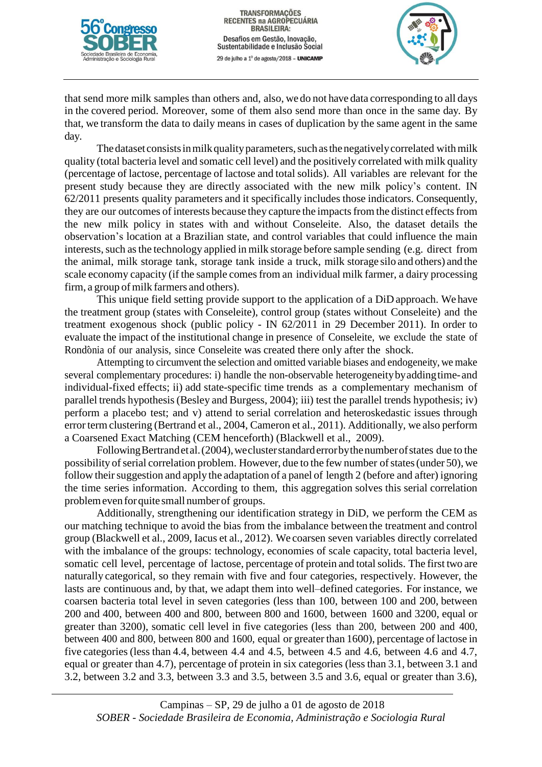



that send more milk samples than others and, also, we do not have data corresponding to all days in the covered period. Moreover, some of them also send more than once in the same day. By that, we transform the data to daily means in cases of duplication by the same agent in the same day.

The dataset consists in milk quality parameters, such as the negatively correlated with milk quality (total bacteria level and somatic cell level) and the positively correlated with milk quality (percentage of lactose, percentage of lactose and total solids). All variables are relevant for the present study because they are directly associated with the new milk policy's content. IN 62/2011 presents quality parameters and it specifically includes those indicators. Consequently, they are our outcomes of interests because they capture the impacts from the distinct effects from the new milk policy in states with and without Conseleite. Also, the dataset details the observation's location at a Brazilian state, and control variables that could influence the main interests, such as the technology applied in milk storage before sample sending (e.g. direct from the animal, milk storage tank, storage tank inside a truck, milk storage silo and others) and the scale economy capacity (if the sample comes from an individual milk farmer, a dairy processing firm, a group of milk farmers and others).

This unique field setting provide support to the application of a DiD approach. We have the treatment group (states with Conseleite), control group (states without Conseleite) and the treatment exogenous shock (public policy - IN 62/2011 in 29 December 2011). In order to evaluate the impact of the institutional change in presence of Conseleite, we exclude the state of Rondônia of our analysis, since Conseleite was created there only after the shock.

Attempting to circumvent the selection and omitted variable biases and endogeneity, we make several complementary procedures: i) handle the non-observable heterogeneitybyaddingtime-and individual-fixed effects; ii) add state-specific time trends as a complementary mechanism of parallel trends hypothesis(Besley and Burgess, 2004); iii) test the parallel trends hypothesis; iv) perform a placebo test; and v) attend to serial correlation and heteroskedastic issues through error term clustering (Bertrand et al., 2004, Cameron et al., 2011). Additionally, we also perform a Coarsened Exact Matching (CEM henceforth) (Blackwell et al., 2009).

Following Bertrand et al. (2004), we cluster standard error by the number of states due to the possibility of serial correlation problem. However, due to the few number of states (under 50), we follow their suggestion and apply the adaptation of a panel of length 2 (before and after) ignoring the time series information. According to them, this aggregation solves this serial correlation problemeven forquite small numberof groups.

Additionally, strengthening our identification strategy in DiD, we perform the CEM as our matching technique to avoid the bias from the imbalance between the treatment and control group (Blackwell et al., 2009, Iacus et al., 2012). We coarsen seven variables directly correlated with the imbalance of the groups: technology, economies of scale capacity, total bacteria level, somatic cell level, percentage of lactose, percentage of protein and total solids. The first two are naturally categorical, so they remain with five and four categories, respectively. However, the lasts are continuous and, by that, we adapt them into well–defined categories. For instance, we coarsen bacteria total level in seven categories (less than 100, between 100 and 200, between 200 and 400, between 400 and 800, between 800 and 1600, between 1600 and 3200, equal or greater than 3200), somatic cell level in five categories (less than 200, between 200 and 400, between 400 and 800, between 800 and 1600, equal or greaterthan 1600), percentage of lactose in five categories (less than 4.4, between 4.4 and 4.5, between 4.5 and 4.6, between 4.6 and 4.7, equal or greater than 4.7), percentage of protein in six categories (less than 3.1, between 3.1 and 3.2, between 3.2 and 3.3, between 3.3 and 3.5, between 3.5 and 3.6, equal or greater than 3.6),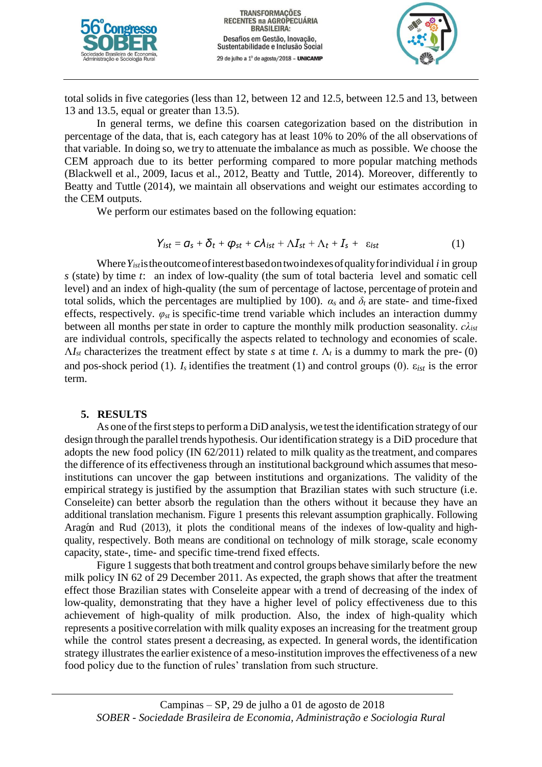



total solids in five categories (less than 12, between 12 and 12.5, between 12.5 and 13, between 13 and 13.5, equal or greater than 13.5).

In general terms, we define this coarsen categorization based on the distribution in percentage of the data, that is, each category has at least 10% to 20% of the all observations of that variable. In doing so, we try to attenuate the imbalance as much as possible. We choose the CEM approach due to its better performing compared to more popular matching methods (Blackwell et al., 2009, Iacus et al., 2012, Beatty and Tuttle, 2014). Moreover, differently to Beatty and Tuttle (2014), we maintain all observations and weight our estimates according to the CEM outputs.

We perform our estimates based on the following equation:

$$
Y_{ist} = \mathbf{G}_s + \mathbf{\delta}_t + \mathbf{\varphi}_{st} + c\lambda_{ist} + \Lambda I_{st} + \Lambda_t + I_s + \varepsilon_{ist}
$$
 (1)

Where*Yist*istheoutcomeofinterestbasedontwoindexesofqualityforindividual *i* in group *s* (state) by time *t*: an index of low-quality (the sum of total bacteria level and somatic cell level) and an index of high-quality (the sum of percentage of lactose, percentage of protein and total solids, which the percentages are multiplied by 100).  $\alpha_s$  and  $\delta_t$  are state- and time-fixed effects, respectively.  $\varphi_{st}$  is specific-time trend variable which includes an interaction dummy between all months perstate in order to capture the monthly milk production seasonality. *cλist* are individual controls, specifically the aspects related to technology and economies of scale.  $\Lambda I_{st}$  characterizes the treatment effect by state *s* at time *t*.  $\Lambda_t$  is a dummy to mark the pre- (0) and pos-shock period (1).  $I_s$  identifies the treatment (1) and control groups (0).  $\varepsilon_{ist}$  is the error term.

# **5. RESULTS**

As one of the first steps to perform a DiD analysis, we test the identification strategy of our design through the parallel trends hypothesis. Ouridentification strategy is a DiD procedure that adopts the new food policy (IN 62/2011) related to milk quality asthe treatment, and compares the difference of its effectiveness through an institutional background which assumes that mesoinstitutions can uncover the gap between institutions and organizations. The validity of the empirical strategy is justified by the assumption that Brazilian states with such structure (i.e. Conseleite) can better absorb the regulation than the others without it because they have an additional translation mechanism. Figure 1 presents this relevant assumption graphically. Following Aragón and Rud (2013), it plots the conditional means of the indexes of low-quality and highquality, respectively. Both means are conditional on technology of milk storage, scale economy capacity, state-, time- and specific time-trend fixed effects.

Figure 1 suggests that both treatment and control groups behave similarly before the new milk policy IN 62 of 29 December 2011. As expected, the graph shows that after the treatment effect those Brazilian states with Conseleite appear with a trend of decreasing of the index of low-quality, demonstrating that they have a higher level of policy effectiveness due to this achievement of high-quality of milk production. Also, the index of high-quality which represents a positive correlation with milk quality exposes an increasing for the treatment group while the control states present a decreasing, as expected. In general words, the identification strategy illustrates the earlier existence of a meso-institution improves the effectiveness of a new food policy due to the function of rules' translation from such structure.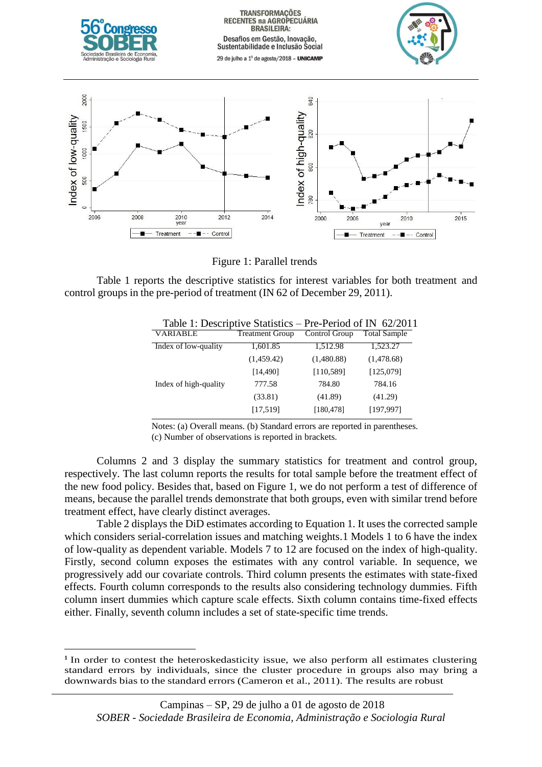

Figure 1: Parallel trends

Table 1 reports the descriptive statistics for interest variables for both treatment and control groups in the pre-period of treatment (IN 62 of December 29, 2011).

| Table 1. Descriptive Statistics – Pre-Period of IIN $02/201$ |                        |               |                     |
|--------------------------------------------------------------|------------------------|---------------|---------------------|
| <b>VARIABLE</b>                                              | <b>Treatment Group</b> | Control Group | <b>Total Sample</b> |
| Index of low-quality                                         | 1,601.85               | 1,512.98      | 1,523.27            |
|                                                              | (1,459.42)             | (1,480.88)    | (1,478.68)          |
|                                                              | [14, 490]              | [110, 589]    | [125,079]           |
| Index of high-quality                                        | 777.58                 | 784.80        | 784.16              |
|                                                              | (33.81)                | (41.89)       | (41.29)             |
|                                                              | [17,519]               | [180, 478]    | [197,997]           |
|                                                              |                        |               |                     |

| Table 1: Descriptive Statistics – Pre-Period of IN 62/2011 |  |
|------------------------------------------------------------|--|
|------------------------------------------------------------|--|

Notes: (a) Overall means. (b) Standard errors are reported in parentheses. (c) Number of observations is reported in brackets.

Columns 2 and 3 display the summary statistics for treatment and control group, respectively. The last column reports the results for total sample before the treatment effect of the new food policy. Besides that, based on Figure 1, we do not perform a test of difference of means, because the parallel trends demonstrate that both groups, even with similar trend before treatment effect, have clearly distinct averages.

Table 2 displays the DiD estimates according to Equation 1. It uses the corrected sample which considers serial-correlation issues and matching weights.1 Models 1 to 6 have the index of low-quality as dependent variable. Models 7 to 12 are focused on the index of high-quality. Firstly, second column exposes the estimates with any control variable. In sequence, we progressively add our covariate controls. Third column presents the estimates with state-fixed effects. Fourth column corresponds to the results also considering technology dummies. Fifth column insert dummies which capture scale effects. Sixth column contains time-fixed effects either. Finally, seventh column includes a set of state-specific time trends.

 $\overline{a}$ <sup>1</sup> In order to contest the heteroskedasticity issue, we also perform all estimates clustering standard errors by individuals, since the cluster procedure in groups also may bring a downwards bias to the standard errors (Cameron et al., 2011). The results are robust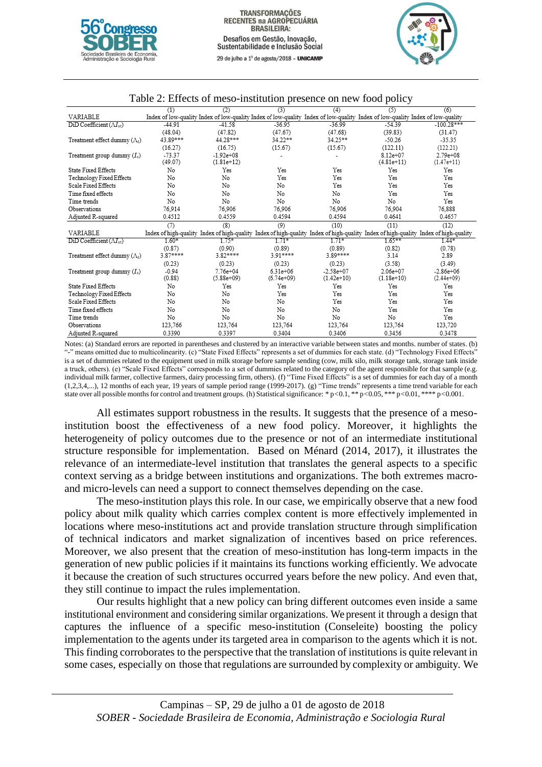



|                                                          | (1)       | (2)            | (3)          | (4)           | (5)                                                                                                                                 | (6)           |
|----------------------------------------------------------|-----------|----------------|--------------|---------------|-------------------------------------------------------------------------------------------------------------------------------------|---------------|
| VARIABLE                                                 |           |                |              |               | Index of low-quality Index of low-quality Index of low-quality Index of low-quality Index of low-quality Index of low-quality       |               |
| $\overline{\mathrm{DiD}}$ Coefficient $(\Lambda I_{st})$ | $-44.91$  | $-41.58$       | $-36.95$     | $-36.99$      | $-54.39$                                                                                                                            | $-100.28***$  |
|                                                          | (48.04)   | (47.82)        | (47.67)      | (47.68)       | (39.83)                                                                                                                             | (31.47)       |
| Treatment effect dummy $(\Lambda_t)$                     | 43.89***  | 44.28***       | 34.22**      | 34.25**       | $-50.26$                                                                                                                            | $-35.35$      |
|                                                          | (16.27)   | (16.75)        | (15.67)      | (15.67)       | (122.11)                                                                                                                            | (122.21)      |
| Treatment group dummy $(I_s)$                            | $-73.37$  | $-1.92e + 0.8$ |              |               | $8.12e + 07$                                                                                                                        | $2.79e + 08$  |
|                                                          | (49.07)   | $(1.81e+12)$   |              |               | $(4.81e+11)$                                                                                                                        | $(1.47e+11)$  |
| <b>State Fixed Effects</b>                               | No        | Yes            | Yes          | Yes           | Yes                                                                                                                                 | Yes           |
| Technology Fixed Effects                                 | No        | No             | Yes          | Yes           | Yes                                                                                                                                 | Yes           |
| Scale Fixed Effects                                      | No        | No             | No           | Yes           | Yes                                                                                                                                 | Yes           |
| Time fixed effects                                       | No        | No             | No           | No            | Yes                                                                                                                                 | Yes           |
| Time trends                                              | No        | No             | No           | No            | No                                                                                                                                  | Yes           |
| Observations                                             | 76,914    | 76,906         | 76.906       | 76,906        | 76,904                                                                                                                              | 76,888        |
| Adjusted R-squared                                       | 0.4512    | 0.4559         | 0.4594       | 0.4594        | 0.4641                                                                                                                              | 0.4657        |
|                                                          | (7)       | (8)            | (9)          | (10)          | (11)                                                                                                                                | (12)          |
| <b>VARIABLE</b>                                          |           |                |              |               | Index of high-quality Index of high-quality Index of high-quality Index of high-quality Index of high-quality Index of high-quality |               |
| $D$ iD Coefficient ( $\Lambda I_{st}$ )                  | $1.60*$   | $1.75*$        | $1.71*$      | $1.71*$       | $1.65***$                                                                                                                           | $1.44*$       |
|                                                          | (0.87)    | (0.90)         | (0.89)       | (0.89)        | (0.82)                                                                                                                              | (0.78)        |
| Treatment effect dummy $(\Lambda_t)$                     | $3.87***$ | $3.82***$      | $3.91***$    | 3.89****      | 3.14                                                                                                                                | 2.89          |
|                                                          |           |                |              |               |                                                                                                                                     |               |
|                                                          | (0.23)    | (0.23)         | (0.23)       | (0.23)        | (3.58)                                                                                                                              | (3.49)        |
| Treatment group dummy $(I_s)$                            | $-0.94$   | $7.76e + 04$   | $6.31e + 06$ | $-2.58e + 07$ | $2.06e + 07$                                                                                                                        | $-2.86e + 06$ |
|                                                          | (0.88)    | $(5.88e+09)$   | $(6.74e+09)$ | $(1.42e+10)$  | $(1.18e+10)$                                                                                                                        | $(2.44e+09)$  |
| <b>State Fixed Effects</b>                               | No        | Yes            | Yes          | Yes           | Yes                                                                                                                                 | Yes           |
| Technology Fixed Effects                                 | No        | No             | Yes          | Yes           | Yes                                                                                                                                 | Yes           |
| <b>Scale Fixed Effects</b>                               | No        | No             | No           | Yes           | Yes                                                                                                                                 | Yes           |
| Time fixed effects                                       | No        | No             | No           | No            | Yes                                                                                                                                 | Yes           |
| Time trends                                              | No        | No             | No           | No            | No                                                                                                                                  | Yes           |
| Observations                                             | 123,766   | 123,764        | 123,764      | 123,764       | 123,764                                                                                                                             | 123,720       |

### Table 2: Effects of meso-institution presence on new food policy

Notes: (a) Standard errors are reported in parentheses and clustered by an interactive variable between states and months. number of states. (b) "-" means omitted due to multicolinearity. (c) "State Fixed Effects" represents a set of dummies for each state. (d) "Technology Fixed Effects" is a set of dummies related to the equipment used in milk storage before sample sending (cow, milk silo, milk storage tank, storage tank inside a truck, others). (e) "Scale Fixed Effects" corresponds to a set of dummies related to the category of the agent responsible for that sample (e.g. individual milk farmer, collective farmers, dairy processing firm, others). (f) "Time Fixed Effects" is a set of dummies for each day of a month (1,2,3,4,...), 12 months of each year, 19 years of sample period range (1999-2017). (g) "Time trends" represents a time trend variable for each state over all possible months for control and treatment groups. (h) Statisticalsignificance: \* p*<*0.1, \*\* p*<*0.05, \*\*\* p*<*0.01, \*\*\*\* p*<*0.001.

All estimates support robustness in the results. It suggests that the presence of a mesoinstitution boost the effectiveness of a new food policy. Moreover, it highlights the heterogeneity of policy outcomes due to the presence or not of an intermediate institutional structure responsible for implementation. Based on Ménard (2014, 2017), it illustrates the relevance of an intermediate-level institution that translates the general aspects to a specific context serving as a bridge between institutions and organizations. The both extremes macroand micro-levels can need a support to connect themselves depending on the case.

The meso-institution plays this role. In our case, we empirically observe that a new food policy about milk quality which carries complex content is more effectively implemented in locations where meso-institutions act and provide translation structure through simplification of technical indicators and market signalization of incentives based on price references. Moreover, we also present that the creation of meso-institution has long-term impacts in the generation of new public policies if it maintains its functions working efficiently. We advocate it because the creation of such structures occurred years before the new policy. And even that, they still continue to impact the rules implementation.

Our results highlight that a new policy can bring different outcomes even inside a same institutional environment and considering similar organizations. We present it through a design that captures the influence of a specific meso-institution (Conseleite) boosting the policy implementation to the agents under its targeted area in comparison to the agents which it is not. This finding corroborates to the perspective that the translation of institutions is quite relevant in some cases, especially on those that regulations are surrounded by complexity or ambiguity. We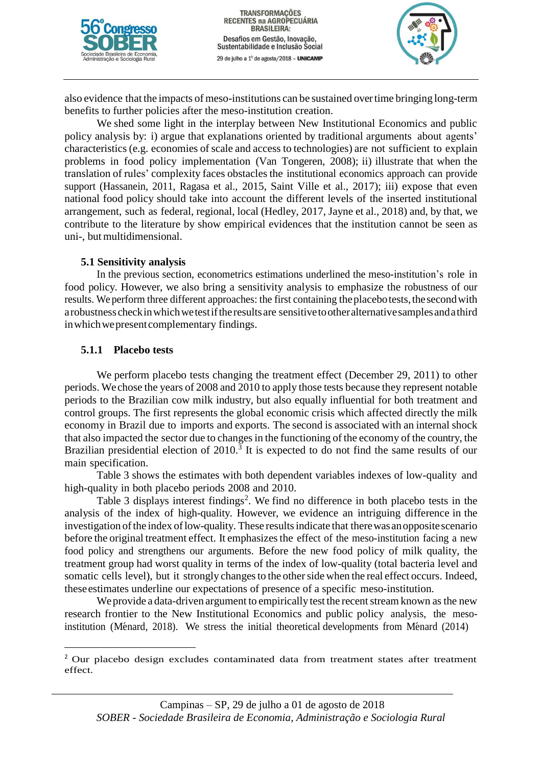



also evidence that the impacts of meso-institutions can be sustained overtime bringing long-term benefits to further policies after the meso-institution creation.

We shed some light in the interplay between New Institutional Economics and public policy analysis by: i) argue that explanations oriented by traditional arguments about agents' characteristics (e.g. economies of scale and access to technologies) are not sufficient to explain problems in food policy implementation (Van Tongeren, 2008); ii) illustrate that when the translation of rules' complexity faces obstacles the institutional economics approach can provide support (Hassanein, 2011, Ragasa et al., 2015, Saint Ville et al., 2017); iii) expose that even national food policy should take into account the different levels of the inserted institutional arrangement, such as federal, regional, local (Hedley, 2017, Jayne et al., 2018) and, by that, we contribute to the literature by show empirical evidences that the institution cannot be seen as uni-, butmultidimensional.

### **5.1 Sensitivity analysis**

In the previous section, econometrics estimations underlined the meso-institution's role in food policy. However, we also bring a sensitivity analysis to emphasize the robustness of our results. We perform three different approaches: the first containing the placebotests, the second with arobustness checkinwhichwetestiftheresultsare sensitivetootheralternativesamplesandathird in which we present complementary findings.

### **5.1.1 Placebo tests**

 $\overline{a}$ 

We perform placebo tests changing the treatment effect (December 29, 2011) to other periods. We chose the years of 2008 and 2010 to apply those tests because they represent notable periods to the Brazilian cow milk industry, but also equally influential for both treatment and control groups. The first represents the global economic crisis which affected directly the milk economy in Brazil due to imports and exports. The second is associated with an internal shock that also impacted the sector due to changes in the functioning of the economy of the country, the Brazilian presidential election of  $2010<sup>3</sup>$  It is expected to do not find the same results of our main specification.

Table 3 shows the estimates with both dependent variables indexes of low-quality and high-quality in both placebo periods 2008 and 2010.

Table 3 displays interest findings<sup>2</sup>. We find no difference in both placebo tests in the analysis of the index of high-quality. However, we evidence an intriguing difference in the investigation of the index of low-quality. These results indicate that there was an opposite scenario before the original treatment effect. It emphasizes the effect of the meso-institution facing a new food policy and strengthens our arguments. Before the new food policy of milk quality, the treatment group had worst quality in terms of the index of low-quality (total bacteria level and somatic cells level), but it strongly changes to the other side when the real effect occurs. Indeed, theseestimates underline our expectations of presence of a specific meso-institution.

We provide a data-driven argument to empirically test the recent stream known as the new research frontier to the New Institutional Economics and public policy analysis, the mesoinstitution (Ménard, 2018). We stress the initial theoretical developments from Ménard  $(2014)$ 

<sup>&</sup>lt;sup>2</sup> Our placebo design excludes contaminated data from treatment states after treatment effect.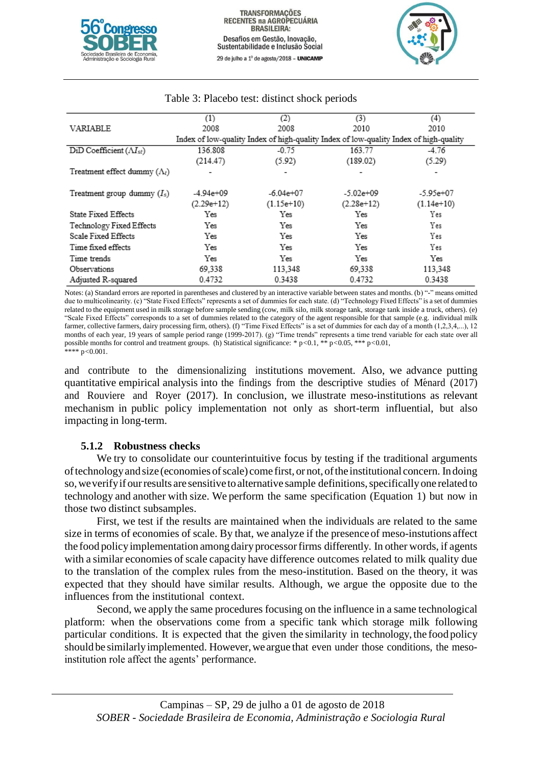



|                                           | $\scriptstyle{(1)}$ | (2)           | (3)                                                                                   | (4)          |
|-------------------------------------------|---------------------|---------------|---------------------------------------------------------------------------------------|--------------|
| VARIABLE                                  | 2008                | 2008          | 2010                                                                                  | 2010         |
|                                           |                     |               | Index of low-quality Index of high-quality Index of low-quality Index of high-quality |              |
| $DiD Coefficient (\Lambda I_{st})$        | 136.808             | $-0.75$       | 163.77                                                                                | $-4.76$      |
|                                           | (214.47)            | (5.92)        | (189.02)                                                                              | (5.29)       |
| Treatment effect dummy $(\Lambda_{\ell})$ | ٠                   |               |                                                                                       |              |
| Treatment group dummy $(I_s)$             | $-4.94e+09$         | $-6.04e + 07$ | $-5.02e + 09$                                                                         | $-5.95e+07$  |
|                                           | $(2.29e+12)$        | $(1.15e+10)$  | $(2.28e+12)$                                                                          | $(1.14e+10)$ |
| State Fixed Effects                       | Yes                 | Yes           | Yes                                                                                   | Yes          |
| Technology Fixed Effects                  | Yes                 | Yes           | Yes                                                                                   | Yes          |
| Scale Fixed Effects                       | Yes                 | Yes           | Yes                                                                                   | Yes          |
| Time fixed effects                        | Yes                 | Yes           | Yes                                                                                   | Yes          |
| Time trends                               | Yes                 | Yes           | Yes                                                                                   | Yes          |
| Observations                              | 69,338              | 113,348       | 69,338                                                                                | 113,348      |
| Adjusted R-squared                        | 0.4732              | 0.3438        | 0.4732                                                                                | 0.3438       |

### Table 3: Placebo test: distinct shock periods

Notes: (a) Standard errors are reported in parentheses and clustered by an interactive variable between states and months. (b) "-" means omitted due to multicolinearity. (c) "State Fixed Effects" represents a set of dummies for each state. (d) "Technology Fixed Effects" is a set of dummies related to the equipment used in milk storage before sample sending (cow, milk silo, milk storage tank, storage tank inside a truck, others). (e) "Scale Fixed Effects" corresponds to a set of dummies related to the category of the agent responsible for that sample (e.g. individual milk farmer, collective farmers, dairy processing firm, others). (f) "Time Fixed Effects" is a set of dummies for each day of a month (1,2,3,4,...), 12 months of each year, 19 years of sample period range (1999-2017). (g) "Time trends" represents a time trend variable for each state over all possible months for control and treatment groups. (h) Statistical significance: \* p*<*0.1, \*\* p*<*0.05, \*\*\* p*<*0.01, \*\*\*\* p*<*0.001.

and contribute to the dimensionalizing institutions movement. Also, we advance putting quantitative empirical analysis into the findings from the descriptive studies of Ménard (2017) and Rouviere and Royer (2017). In conclusion, we illustrate meso-institutions as relevant mechanism in public policy implementation not only as short-term influential, but also impacting in long-term.

# **5.1.2 Robustness checks**

We try to consolidate our counterintuitive focus by testing if the traditional arguments oftechnologyand size (economies ofscale) come first, or not,ofthe institutional concern. Indoing so, we verify if our results are sensitive to alternative sample definitions, specifically one related to technology and another with size. We perform the same specification (Equation 1) but now in those two distinct subsamples.

First, we test if the results are maintained when the individuals are related to the same size in terms of economies of scale. By that, we analyze if the presenceof meso-instutions affect the food policy implementation among dairy processor firms differently. In other words, if agents with a similar economies of scale capacity have difference outcomes related to milk quality due to the translation of the complex rules from the meso-institution. Based on the theory, it was expected that they should have similar results. Although, we argue the opposite due to the influences from the institutional context.

Second, we apply the same procedures focusing on the influence in a same technological platform: when the observations come from a specific tank which storage milk following particular conditions. It is expected that the given the similarity in technology,the food policy should be similarly implemented. However, we argue that even under those conditions, the mesoinstitution role affect the agents' performance.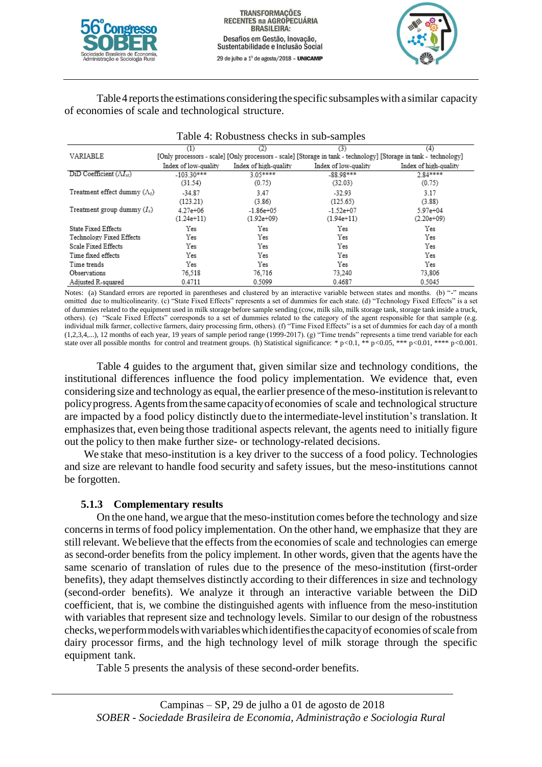



Table 4 reports the estimations considering the specific subsamples with a similar capacity of economies of scale and technological structure.

| Table 4: Robustness checks in sub-samples              |                              |                               |                                                                                                                          |                           |
|--------------------------------------------------------|------------------------------|-------------------------------|--------------------------------------------------------------------------------------------------------------------------|---------------------------|
| VARIABLE                                               | (1)                          | (2)                           | (3)<br>[Only processors - scale] [Only processors - scale] [Storage in tank - technology] [Storage in tank - technology] | (4)                       |
|                                                        | Index of low-quality         | Index of high-quality         | Index of low-quality                                                                                                     | Index of high-quality     |
| $DiD Coefficient (M_{st})$                             | $-103.30***$<br>(31.54)      | $305***$<br>(0.75)            | $-8898***$<br>(32.03)                                                                                                    | $2.84***$<br>(0.75)       |
| Treatment effect dummy $(\Lambda_t)$                   | $-34.87$<br>(123.21)         | 3.47<br>(3.86)                | $-32.93$<br>(125.65)                                                                                                     | 3.17<br>(3.88)            |
| Treatment group dummy $(I_s)$                          | $4.27e + 06$<br>$(1.24e+11)$ | $-1.86e + 05$<br>$(1.92e+09)$ | $-1.52e+07$<br>$(1.94e+11)$                                                                                              | 5.97e+04<br>$(2.20e+0.9)$ |
| <b>State Fixed Effects</b><br>Technology Fixed Effects | Yes<br>Yes                   | Yes<br>Yes                    | Yes<br>Yes                                                                                                               | Yes<br>Yes                |
| Scale Fixed Effects                                    | Yes                          | Yes                           | Yes                                                                                                                      | Yes                       |
| Time fixed effects                                     | Yes                          | Yes                           | Yes                                                                                                                      | Yes                       |
| Time trends                                            | Yes                          | Yes                           | Yes                                                                                                                      | Yes                       |
| Observations                                           | 76,518                       | 76,716                        | 73,240                                                                                                                   | 73,806                    |
| Adjusted R-squared                                     | 0.4711                       | 0.5099                        | 0.4687                                                                                                                   | 0.5045                    |

Notes: (a) Standard errors are reported in parentheses and clustered by an interactive variable between states and months. (b) "-" means omitted due to multicolinearity. (c) "State Fixed Effects" represents a set of dummies for each state. (d) "Technology Fixed Effects" is a set of dummies related to the equipment used in milk storage before sample sending (cow, milk silo, milk storage tank, storage tank inside a truck, others). (e) "Scale Fixed Effects" corresponds to a set of dummies related to the category of the agent responsible for that sample (e.g. individual milk farmer, collective farmers, dairy processing firm, others). (f) "Time Fixed Effects" is a set of dummies for each day of a month (1,2,3,4,...), 12 months of each year, 19 years of sample period range (1999-2017). (g) "Time trends" represents a time trend variable for each state over all possible months for control and treatment groups. (h) Statistical significance: \* p*<*0.1, \*\* p*<*0.05, \*\*\* p*<*0.01, \*\*\*\* p*<*0.001.

Table 4 guides to the argument that, given similar size and technology conditions, the institutional differences influence the food policy implementation. We evidence that, even considering size and technology as equal, the earlier presence of the meso-institution is relevant to policyprogress. Agentsfromthesamecapacityofeconomies of scale and technological structure are impacted by a food policy distinctly dueto the intermediate-level institution's translation. It emphasizes that, even being those traditional aspects relevant, the agents need to initially figure out the policy to then make further size- or technology-related decisions.

We stake that meso-institution is a key driver to the success of a food policy. Technologies and size are relevant to handle food security and safety issues, but the meso-institutions cannot be forgotten.

# **5.1.3 Complementary results**

On the one hand, we argue that the meso-institution comes before the technology and size concernsin terms of food policy implementation. On the other hand, we emphasize that they are still relevant. We believe that the effects from the economies of scale and technologies can emerge as second-order benefits from the policy implement. In other words, given that the agents have the same scenario of translation of rules due to the presence of the meso-institution (first-order benefits), they adapt themselves distinctly according to their differences in size and technology (second-order benefits). We analyze it through an interactive variable between the DiD coefficient, that is, we combine the distinguished agents with influence from the meso-institution with variables that represent size and technology levels. Similar to our design of the robustness checks,weperformmodelswithvariableswhichidentifiesthecapacityof economies ofscale from dairy processor firms, and the high technology level of milk storage through the specific equipment tank.

Table 5 presents the analysis of these second-order benefits.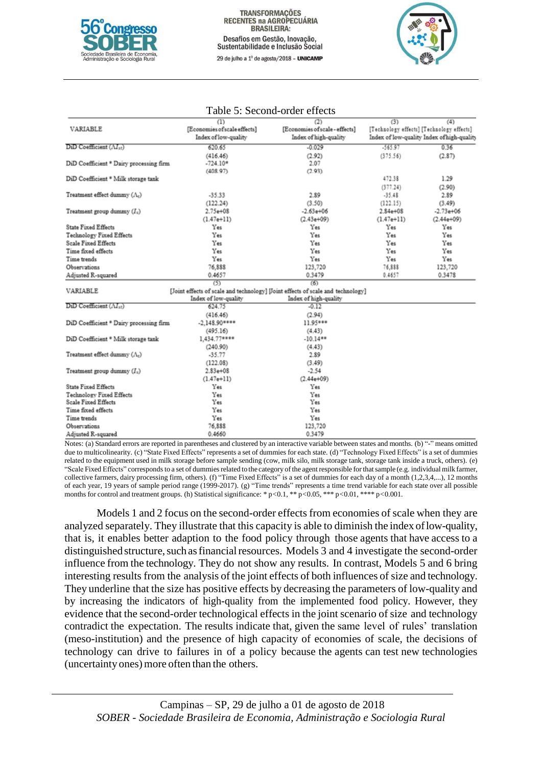

29 de julho a 1º de agosto/2018 - UNICAMP



|                                         | (1)                                                                             | (2)                            | (3)          | (4)                                        |
|-----------------------------------------|---------------------------------------------------------------------------------|--------------------------------|--------------|--------------------------------------------|
| VARIABLE                                | [Economies of scale effects]                                                    | [Economies of scale - effects] |              | [Technology effects] [Technology effects]  |
|                                         | Index of low-quality                                                            | Index of high-quality          |              | Index of low-quality Index of high-quality |
| $DiD$ Coefficient $(\Lambda I_{st})$    | 620.65                                                                          | $-0.029$                       | $-565.97$    | 0.36                                       |
|                                         | (416.46)                                                                        | (2.92)                         | (375.56)     | (2.87)                                     |
| DiD Coefficient * Dairy processing firm | $-724.10*$                                                                      | 2.07                           |              |                                            |
|                                         | (408.97)                                                                        | (2.93)                         |              |                                            |
| DiD Coefficient * Milk storage tank     |                                                                                 |                                | 472.38       | 1.29                                       |
|                                         |                                                                                 |                                | (377.24)     | (2.90)                                     |
| Treatment effect dummy $(\Lambda_t)$    | $-35.33$                                                                        | 2.89                           | $-35.48$     | 2.89                                       |
|                                         | (122.24)                                                                        | (3.50)                         | (122.15)     | (3.49)                                     |
| Treatment group dummy $(I_s)$           | $2.75 + 08$                                                                     | $-2.63e + 06$                  | $2.84 + 08$  | $-2.73e+06$                                |
|                                         | $(1.47e+11)$                                                                    | $(2.43e+09)$                   | $(1.47e+11)$ | $(2.44e+09)$                               |
| <b>State Fixed Effects</b>              | Yes                                                                             | Yes                            | Yes          | Yes                                        |
| Technology Fixed Effects                | Yes                                                                             | Yes                            | Yes          | Yes                                        |
| <b>Scale Fixed Effects</b>              | Yes                                                                             | Yes                            | Yes          | Yes                                        |
| Time fixed effects                      | Yes                                                                             | Yes                            | Yes          | Yes                                        |
| Time trends                             | Yes                                                                             | Yes                            | Yes          | Yes                                        |
| Observations                            | 76,888                                                                          | 123,720                        | 76,888       | 123,720                                    |
| Adjusted R-squared                      | 0.4657                                                                          | 0.3479                         | 0.4657       | 0.3478                                     |
|                                         | (5)                                                                             | (6)                            |              |                                            |
| VARIABLE                                | [Joint effects of scale and technology] [Joint effects of scale and technology] |                                |              |                                            |
|                                         | Index of low-quality                                                            | Index of high-quality          |              |                                            |
| DiD Coefficient (AI <sub>st</sub> )     | 624.75                                                                          | $-0.12$                        |              |                                            |
|                                         | (416.46)                                                                        | (2.94)                         |              |                                            |
| DiD Coefficient * Dairy processing firm | $-2.148.90***$                                                                  | 11.95***                       |              |                                            |
|                                         | (495.16)                                                                        | (4.43)                         |              |                                            |
| DiD Coefficient * Milk storage tank     | 1,434.77****                                                                    | $-10.14**$                     |              |                                            |
|                                         | (240.90)                                                                        | (4.43)                         |              |                                            |
| Treatment effect dummy $(\Lambda_c)$    | $-35.77$                                                                        | 2.89                           |              |                                            |
|                                         | (122.08)                                                                        | (3.49)                         |              |                                            |
| Treatment group dummy $(I_n)$           | $2.83e + 08$                                                                    | $-2.54$                        |              |                                            |
|                                         | $(1.47e+11)$                                                                    | $(2.44e+09)$                   |              |                                            |
| <b>State Fixed Effects</b>              | Yes                                                                             | Yes                            |              |                                            |
| Technology Fixed Effects                | Yes                                                                             | Yes                            |              |                                            |
| Scale Fixed Effects                     | Yes                                                                             | Yes                            |              |                                            |
| Time fixed effects                      | Yes                                                                             | Yes                            |              |                                            |
| Time trends                             | Yes                                                                             | Yes                            |              |                                            |
| Observations                            | 76,888                                                                          | 123,720                        |              |                                            |
| Adjusted R-souared                      | 0.4660                                                                          | 0.3479                         |              |                                            |

#### Table 5: Second-order effects

Notes: (a) Standard errors are reported in parentheses and clustered by an interactive variable between states and months. (b) "-" means omitted due to multicolinearity. (c) "State Fixed Effects" represents a set of dummies for each state. (d) "Technology Fixed Effects" is a set of dummies related to the equipment used in milk storage before sample sending (cow, milk silo, milk storage tank, storage tank inside a truck, others). (e) "Scale Fixed Effects" corresponds to a set of dummies related to the category of the agent responsible for that sample (e.g. individual milk farmer, collective farmers, dairy processing firm, others). (f) "Time Fixed Effects" is a set of dummies for each day of a month (1,2,3,4,...), 12 months of each year, 19 years of sample period range (1999-2017). (g) "Time trends" represents a time trend variable for each state over all possible months for control and treatment groups. (h) Statistical significance: \* p*<*0.1, \*\* p*<*0.05, \*\*\* p*<*0.01, \*\*\*\* p*<*0.001.

Models 1 and 2 focus on the second-order effects from economies of scale when they are analyzed separately. They illustrate that this capacity is able to diminish the index oflow-quality, that is, it enables better adaption to the food policy through those agents that have access to a distinguished structure, such as financial resources. Models 3 and 4 investigate the second-order influence from the technology. They do not show any results. In contrast, Models 5 and 6 bring interesting results from the analysis of the joint effects of both influences of size and technology. They underline that the size has positive effects by decreasing the parameters of low-quality and by increasing the indicators of high-quality from the implemented food policy. However, they evidence that the second-order technological effects in the joint scenario of size and technology contradict the expectation. The results indicate that, given the same level of rules' translation (meso-institution) and the presence of high capacity of economies of scale, the decisions of technology can drive to failures in of a policy because the agents can test new technologies (uncertainty ones) more often than the others.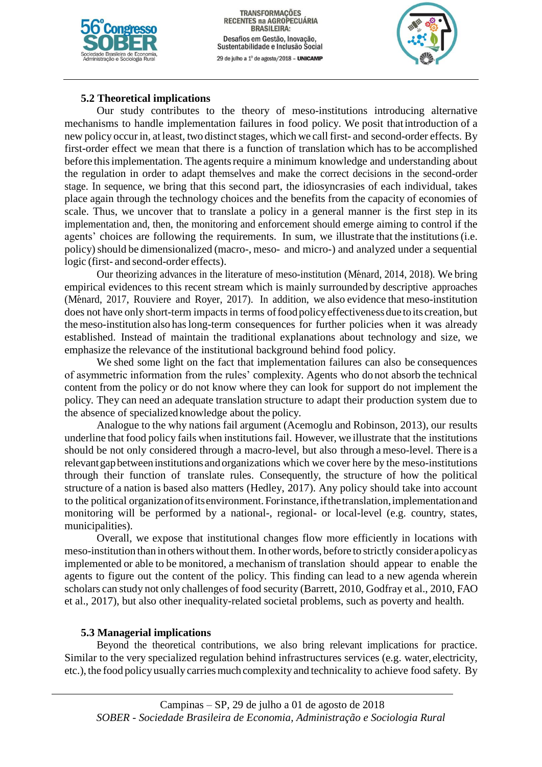

TRANSFORMAÇÕES<br>RECENTES na AGROPECUÁRIA **BRASILEIRA:** Desafios em Gestão, Inovação, Sustentabilidade e Inclusão Social 29 de julho a 1º de agosto/2018 - UNICAMP



## **5.2 Theoretical implications**

Our study contributes to the theory of meso-institutions introducing alternative mechanisms to handle implementation failures in food policy. We posit thatintroduction of a new policy occur in, at least, two distinct stages, which we call first- and second-order effects. By first-order effect we mean that there is a function of translation which has to be accomplished before this implementation. The agents require a minimum knowledge and understanding about the regulation in order to adapt themselves and make the correct decisions in the second-order stage. In sequence, we bring that this second part, the idiosyncrasies of each individual, takes place again through the technology choices and the benefits from the capacity of economies of scale. Thus, we uncover that to translate a policy in a general manner is the first step in its implementation and, then, the monitoring and enforcement should emerge aiming to control if the agents' choices are following the requirements. In sum, we illustrate that the institutions(i.e. policy)should be dimensionalized (macro-, meso- and micro-) and analyzed under a sequential logic (first- and second-order effects).

Our theorizing advances in the literature of meso-institution (Ménard, 2014, 2018). We bring empirical evidences to this recent stream which is mainly surrounded by descriptive approaches (Ménard, 2017, Rouviere and Royer, 2017). In addition, we also evidence that meso-institution does not have only short-term impacts in terms of food policy effectiveness due to its creation, but the meso-institution also haslong-term consequences for further policies when it was already established. Instead of maintain the traditional explanations about technology and size, we emphasize the relevance of the institutional background behind food policy.

We shed some light on the fact that implementation failures can also be consequences of asymmetric information from the rules' complexity. Agents who do not absorb the technical content from the policy or do not know where they can look for support do not implement the policy. They can need an adequate translation structure to adapt their production system due to the absence of specializedknowledge about the policy.

Analogue to the why nations fail argument (Acemoglu and Robinson, 2013), our results underline that food policy fails when institutions fail. However, we illustrate that the institutions should be not only considered through a macro-level, but also through a meso-level. There is a relevantgapbetweeninstitutions andorganizations which we cover here by the meso-institutions through their function of translate rules. Consequently, the structure of how the political structure of a nation is based also matters (Hedley, 2017). Any policy should take into account to the political organizationofitsenvironment. Forinstance,ifthetranslation,implementationand monitoring will be performed by a national-, regional- or local-level (e.g. country, states, municipalities).

Overall, we expose that institutional changes flow more efficiently in locations with meso-institution than in otherswithout them. In otherwords, before to strictly considerapolicyas implemented or able to be monitored, a mechanism of translation should appear to enable the agents to figure out the content of the policy. This finding can lead to a new agenda wherein scholars can study not only challenges of food security (Barrett, 2010, Godfray et al., 2010, FAO et al., 2017), but also other inequality-related societal problems, such as poverty and health.

#### **5.3 Managerial implications**

Beyond the theoretical contributions, we also bring relevant implications for practice. Similar to the very specialized regulation behind infrastructures services (e.g. water, electricity, etc.), the food policyusually carriesmuch complexity and technicality to achieve food safety. By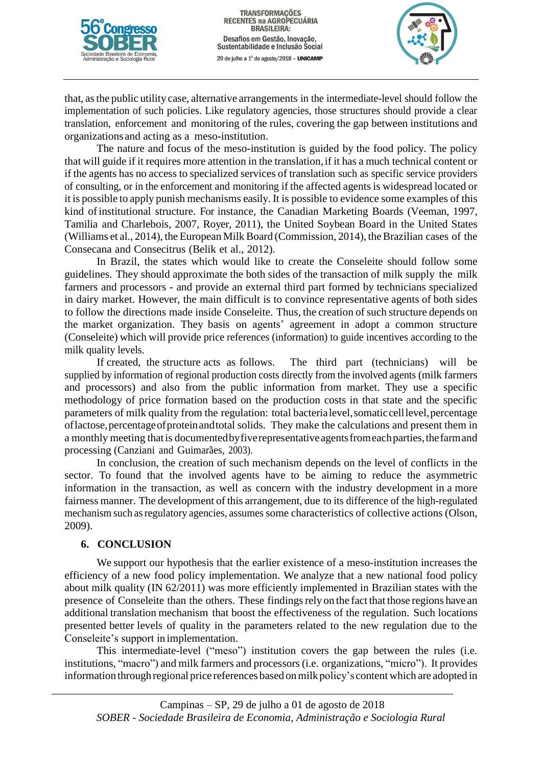



that, asthe public utility case, alternative arrangements in the intermediate-level should follow the implementation of such policies. Like regulatory agencies, those structures should provide a clear translation, enforcement and monitoring of the rules, covering the gap between institutions and organizations and acting as a meso-institution.

The nature and focus of the meso-institution is guided by the food policy. The policy that will guide if it requires more attention in the translation, if it has a much technical content or if the agents has no access to specialized services of translation such as specific service providers of consulting, or in the enforcement and monitoring if the affected agents is widespread located or it is possible to apply punish mechanisms easily. It is possible to evidence some examples of this kind ofinstitutional structure. For instance, the Canadian Marketing Boards (Veeman, 1997, Tamilia and Charlebois, 2007, Royer, 2011), the United Soybean Board in the United States (Williams et al., 2014), the European Milk Board (Commission, 2014), the Brazilian cases of the Consecana and Consecitrus (Belik et al., 2012).

In Brazil, the states which would like to create the Conseleite should follow some guidelines. They should approximate the both sides of the transaction of milk supply the milk farmers and processors - and provide an external third part formed by technicians specialized in dairy market. However, the main difficult is to convince representative agents of both sides to follow the directions made inside Conseleite. Thus, the creation of such structure depends on the market organization. They basis on agents' agreement in adopt a common structure (Conseleite) which will provide price references (information) to guide incentives according to the milk quality levels.

If created, the structure acts as follows. The third part (technicians) will be supplied by information of regional production costs directly from the involved agents (milk farmers and processors) and also from the public information from market. They use a specific methodology of price formation based on the production costs in that state and the specific parameters of milk quality from the regulation: total bacterialevel, somatic cell level, percentage oflactose,percentageofproteinandtotal solids. They make the calculations and present them in a monthly meeting thatis documentedbyfiverepresentativeagentsfromeachparties,thefarmand processing (Canziani and Guimarães, 2003).

In conclusion, the creation of such mechanism depends on the level of conflicts in the sector. To found that the involved agents have to be aiming to reduce the asymmetric information in the transaction, as well as concern with the industry development in a more fairness manner. The development of this arrangement, due to its difference of the high-regulated mechanism such asregulatory agencies, assumes some characteristics of collective actions (Olson, 2009).

# **6. CONCLUSION**

We support our hypothesis that the earlier existence of a meso-institution increases the efficiency of a new food policy implementation. We analyze that a new national food policy about milk quality (IN 62/2011) was more efficiently implemented in Brazilian states with the presence of Conseleite than the others. These findingsrely on the fact that those regions have an additional translation mechanism that boost the effectiveness of the regulation. Such locations presented better levels of quality in the parameters related to the new regulation due to the Conseleite's support in implementation.

This intermediate-level ("meso") institution covers the gap between the rules (i.e. institutions, "macro") and milk farmers and processors(i.e. organizations, "micro"). It provides information through regional price references based on milk policy's content which are adopted in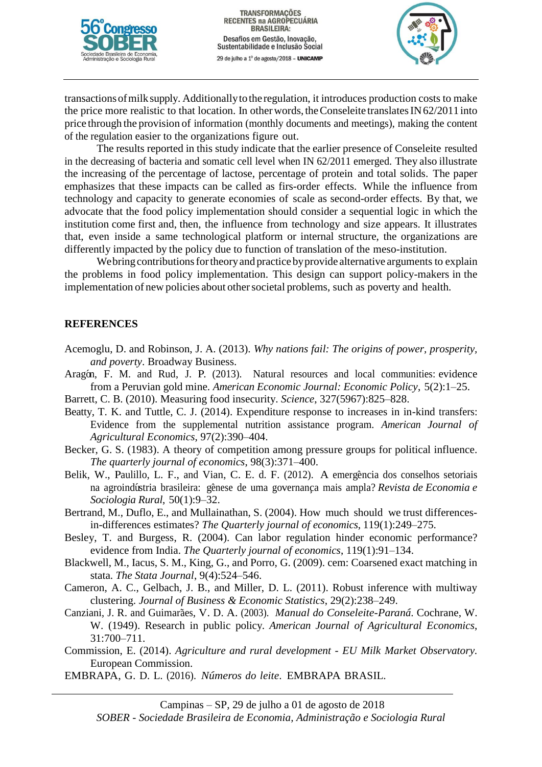



transactionsofmilksupply. Additionallytothe regulation, it introduces production costs to make the price more realistic to that location. In other words, the Conseleite translates IN 62/2011 into price through the provision of information (monthly documents and meetings), making the content of the regulation easier to the organizations figure out.

The results reported in this study indicate that the earlier presence of Conseleite resulted in the decreasing of bacteria and somatic cell level when IN 62/2011 emerged. They also illustrate the increasing of the percentage of lactose, percentage of protein and total solids. The paper emphasizes that these impacts can be called as firs-order effects. While the influence from technology and capacity to generate economies of scale as second-order effects. By that, we advocate that the food policy implementation should consider a sequential logic in which the institution come first and, then, the influence from technology and size appears. It illustrates that, even inside a same technological platform or internal structure, the organizations are differently impacted by the policy due to function of translation of the meso-institution.

We bring contributions for theory and practice by provide alternative arguments to explain the problems in food policy implementation. This design can support policy-makers in the implementation of new policies about other societal problems, such as poverty and health.

### **REFERENCES**

- Acemoglu, D. and Robinson, J. A. (2013). *Why nations fail: The origins of power, prosperity, and poverty*. Broadway Business.
- Aragón, F. M. and Rud, J. P. (2013). Natural resources and local communities: evidence from a Peruvian gold mine. *American Economic Journal: Economic Policy*, 5(2):1–25.
- Barrett, C. B. (2010). Measuring food insecurity. *Science*, 327(5967):825–828.
- Beatty, T. K. and Tuttle, C. J. (2014). Expenditure response to increases in in-kind transfers: Evidence from the supplemental nutrition assistance program. *American Journal of Agricultural Economics*, 97(2):390–404.
- Becker, G. S. (1983). A theory of competition among pressure groups for political influence. *The quarterly journal of economics*, 98(3):371–400.
- Belik, W., Paulillo, L. F., and Vian, C. E. d. F. (2012). A emergência dos conselhos setoriais na agroindústria brasileira: gênese de uma governança mais ampla? *Revista de Economia e Sociologia Rural*, 50(1):9–32.
- Bertrand, M., Duflo, E., and Mullainathan, S. (2004). How much should we trust differencesin-differences estimates? *The Quarterly journal of economics*, 119(1):249–275.
- Besley, T. and Burgess, R. (2004). Can labor regulation hinder economic performance? evidence from India. *The Quarterly journal of economics*, 119(1):91–134.
- Blackwell, M., Iacus, S. M., King, G., and Porro, G. (2009). cem: Coarsened exact matching in stata. *The Stata Journal*, 9(4):524–546.
- Cameron, A. C., Gelbach, J. B., and Miller, D. L. (2011). Robust inference with multiway clustering. *Journal of Business & Economic Statistics*, 29(2):238–249.
- Canziani, J. R. and Guimar˜aes, V. D. A. (2003). *Manual do Conseleite-Paran´a*. Cochrane, W. W. (1949). Research in public policy. *American Journal of Agricultural Economics*, 31:700–711.
- Commission, E. (2014). *Agriculture and rural development - EU Milk Market Observatory.*  European Commission.
- EMBRAPA, G. D. L. (2016). *Nu´meros do leite*. EMBRAPA BRASIL.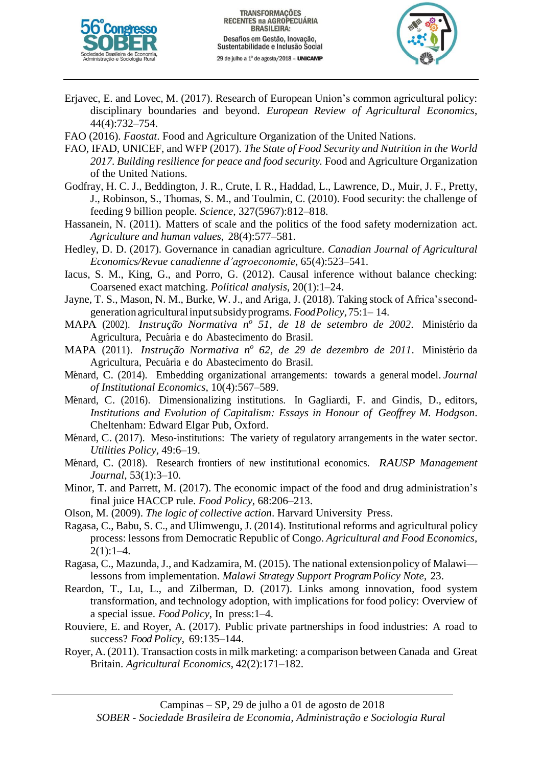



- Erjavec, E. and Lovec, M. (2017). Research of European Union's common agricultural policy: disciplinary boundaries and beyond. *European Review of Agricultural Economics*, 44(4):732–754.
- FAO (2016). *Faostat*. Food and Agriculture Organization of the United Nations.
- FAO, IFAD, UNICEF, and WFP (2017). *The State of Food Security and Nutrition in the World 2017. Building resilience for peace and food security.* Food and Agriculture Organization of the United Nations.
- Godfray, H. C. J., Beddington, J. R., Crute, I. R., Haddad, L., Lawrence, D., Muir, J. F., Pretty, J., Robinson, S., Thomas, S. M., and Toulmin, C. (2010). Food security: the challenge of feeding 9 billion people. *Science*, 327(5967):812–818.
- Hassanein, N. (2011). Matters of scale and the politics of the food safety modernization act. *Agriculture and human values*, 28(4):577–581.
- Hedley, D. D. (2017). Governance in canadian agriculture. *Canadian Journal of Agricultural Economics/Revue canadienne d'agroeconomie*, 65(4):523–541.
- Iacus, S. M., King, G., and Porro, G. (2012). Causal inference without balance checking: Coarsened exact matching. *Political analysis*, 20(1):1–24.
- Jayne, T. S., Mason, N. M., Burke, W. J., and Ariga, J. (2018). Taking stock of Africa'ssecondgeneration agriculturalinputsubsidyprograms. *FoodPolicy*,75:1– 14.
- MAPA (2002). *Instru¸c˜ao Normativa n o 51, de 18 de setembro de 2002*. Minist´erio da Agricultura, Pecuária e do Abastecimento do Brasil.
- MAPA (2011). *Instru¸c˜ao Normativa n o 62, de 29 de dezembro de 2011*. Minist´erio da Agricultura, Pecuária e do Abastecimento do Brasil.
- M´enard, C. (2014). Embedding organizational arrangements: towards a general model. *Journal of Institutional Economics*, 10(4):567–589.
- Ménard, C. (2016). Dimensionalizing institutions. In Gagliardi, F. and Gindis, D., editors, *Institutions and Evolution of Capitalism: Essays in Honour of Geoffrey M. Hodgson*. Cheltenham: Edward Elgar Pub, Oxford.
- Ménard, C. (2017). Meso-institutions: The variety of regulatory arrangements in the water sector. *Utilities Policy*, 49:6–19.
- M´enard, C. (2018). Research frontiers of new institutional economics. *RAUSP Management Journal*, 53(1):3–10.
- Minor, T. and Parrett, M. (2017). The economic impact of the food and drug administration's final juice HACCP rule. *Food Policy*, 68:206–213.
- Olson, M. (2009). *The logic of collective action*. Harvard University Press.
- Ragasa, C., Babu, S. C., and Ulimwengu, J. (2014). Institutional reforms and agricultural policy process: lessons from Democratic Republic of Congo. *Agricultural and Food Economics*,  $2(1):1-4.$
- Ragasa, C., Mazunda, J., and Kadzamira, M. (2015). The national extensionpolicy of Malawi lessons from implementation. *Malawi Strategy Support ProgramPolicy Note*, 23.
- Reardon, T., Lu, L., and Zilberman, D. (2017). Links among innovation, food system transformation, and technology adoption, with implications for food policy: Overview of a special issue. *Food Policy*, In press:1–4.
- Rouviere, E. and Royer, A. (2017). Public private partnerships in food industries: A road to success? *Food Policy*, 69:135–144.
- Royer, A. (2011). Transaction costsin milk marketing: a comparison between Canada and Great Britain. *Agricultural Economics*, 42(2):171–182.